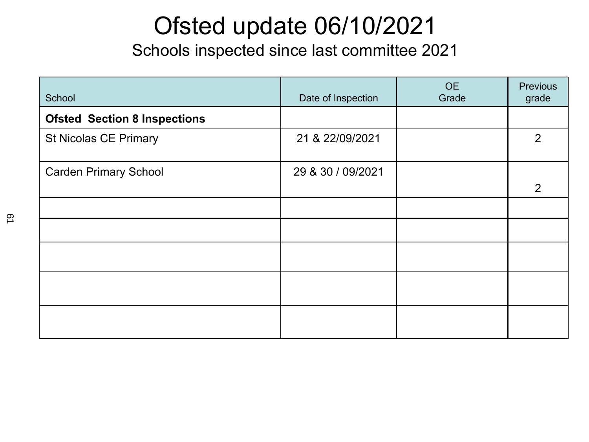### Ofsted update 06/10/2021

Schools inspected since last committee 2021

| School                              | Date of Inspection | <b>OE</b><br>Grade | <b>Previous</b><br>grade |
|-------------------------------------|--------------------|--------------------|--------------------------|
| <b>Ofsted Section 8 Inspections</b> |                    |                    |                          |
| <b>St Nicolas CE Primary</b>        | 21 & 22/09/2021    |                    | $\overline{2}$           |
| <b>Carden Primary School</b>        | 29 & 30 / 09/2021  |                    |                          |
|                                     |                    |                    | $\overline{2}$           |
|                                     |                    |                    |                          |
|                                     |                    |                    |                          |
|                                     |                    |                    |                          |
|                                     |                    |                    |                          |
|                                     |                    |                    |                          |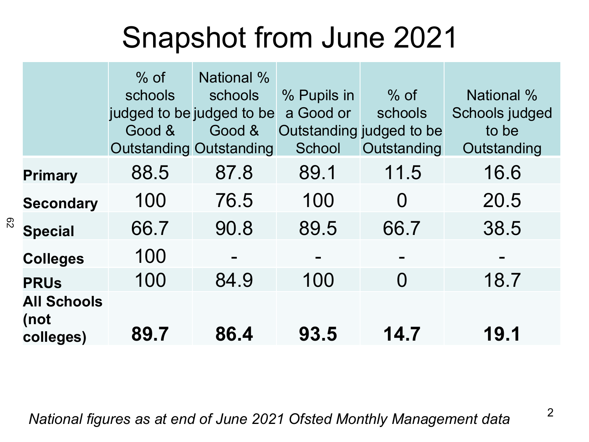## Snapshot from June 2021

|                                         | $%$ of<br>schools<br>judged to be judged to be<br>Good & | National %<br>schools<br>Good &<br><b>Outstanding Outstanding</b> | % Pupils in<br>a Good or<br>School | $%$ of<br>schools<br>Outstanding judged to be<br>Outstanding | <b>National %</b><br>Schools judged<br>to be<br>Outstanding |
|-----------------------------------------|----------------------------------------------------------|-------------------------------------------------------------------|------------------------------------|--------------------------------------------------------------|-------------------------------------------------------------|
| <b>Primary</b>                          | 88.5                                                     | 87.8                                                              | 89.1                               | 11.5                                                         | 16.6                                                        |
| <b>Secondary</b>                        | 100                                                      | 76.5                                                              | 100                                | $\Omega$                                                     | 20.5                                                        |
| <b>Special</b>                          | 66.7                                                     | 90.8                                                              | 89.5                               | 66.7                                                         | 38.5                                                        |
| <b>Colleges</b>                         | 100                                                      |                                                                   |                                    |                                                              |                                                             |
| <b>PRUs</b>                             | 100                                                      | 84.9                                                              | 100                                | $\Omega$                                                     | 18.7                                                        |
| <b>All Schools</b><br>(not<br>colleges) | 89.7                                                     | 86.4                                                              | 93.5                               | 14.7                                                         | 19.1                                                        |

<sup>2</sup> *National figures as at end of June 2021 Ofsted Monthly Management data*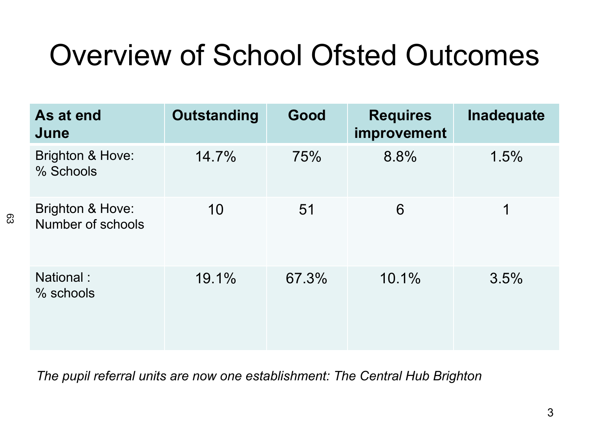## Overview of School Ofsted Outcomes

| As at end<br>June                     | <b>Outstanding</b> | Good  | <b>Requires</b><br>improvement | Inadequate |
|---------------------------------------|--------------------|-------|--------------------------------|------------|
| Brighton & Hove:<br>% Schools         | 14.7%              | 75%   | 8.8%                           | 1.5%       |
| Brighton & Hove:<br>Number of schools | 10                 | 51    | 6                              | 1          |
| National:<br>% schools                | 19.1%              | 67.3% | 10.1%                          | 3.5%       |

*The pupil referral units are now one establishment: The Central Hub Brighton*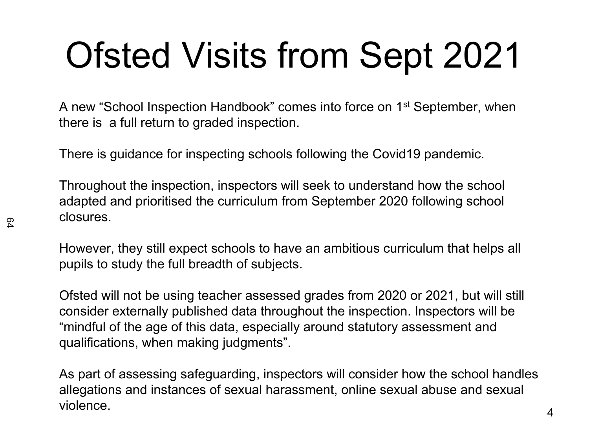# Ofsted Visits from Sept 2021

A new "School Inspection Handbook" comes into force on 1st September, when there is a full return to graded inspection.

There is guidance for inspecting schools following the Covid19 pandemic.

Throughout the inspection, inspectors will seek to understand how the school adapted and prioritised the curriculum from September 2020 following school closures.

However, they still expect schools to have an ambitious curriculum that helps all pupils to study the full breadth of subjects.

Ofsted will not be using teacher assessed grades from 2020 or 2021, but will still consider externally published data throughout the inspection. Inspectors will be "mindful of the age of this data, especially around statutory assessment and qualifications, when making judgments".

As part of assessing safeguarding, inspectors will consider how the school handles allegations and instances of sexual harassment, online sexual abuse and sexual violence.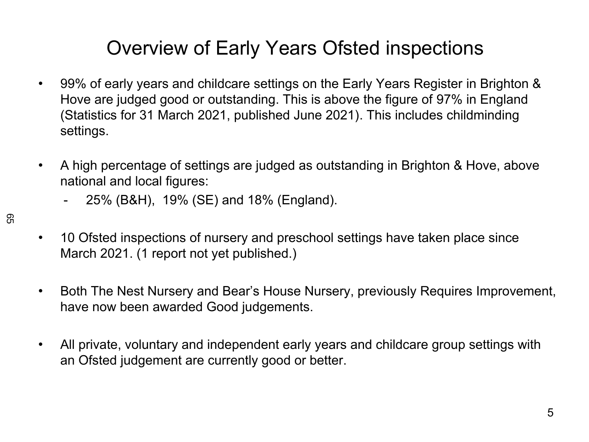### Overview of Early Years Ofsted inspections

- 99% of early years and childcare settings on the Early Years Register in Brighton & Hove are judged good or outstanding. This is above the figure of 97% in England (Statistics for 31 March 2021, published June 2021). This includes childminding settings.
- A high percentage of settings are judged as outstanding in Brighton & Hove, above national and local figures:
	- 25% (B&H), 19% (SE) and 18% (England).
- 10 Ofsted inspections of nursery and preschool settings have taken place since March 2021. (1 report not yet published.)
- Both The Nest Nursery and Bear's House Nursery, previously Requires Improvement, have now been awarded Good judgements.
- All private, voluntary and independent early years and childcare group settings with an Ofsted judgement are currently good or better.